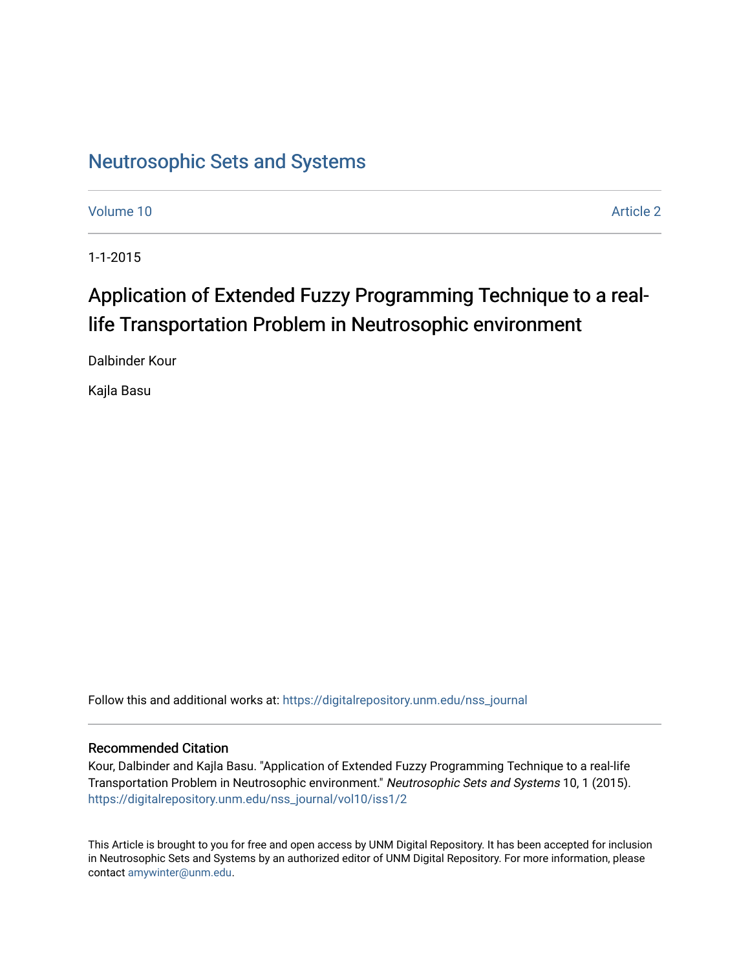# [Neutrosophic Sets and Systems](https://digitalrepository.unm.edu/nss_journal)

[Volume 10](https://digitalrepository.unm.edu/nss_journal/vol10) [Article 2](https://digitalrepository.unm.edu/nss_journal/vol10/iss1/2) 

1-1-2015

# Application of Extended Fuzzy Programming Technique to a reallife Transportation Problem in Neutrosophic environment

Dalbinder Kour

Kajla Basu

Follow this and additional works at: [https://digitalrepository.unm.edu/nss\\_journal](https://digitalrepository.unm.edu/nss_journal?utm_source=digitalrepository.unm.edu%2Fnss_journal%2Fvol10%2Fiss1%2F2&utm_medium=PDF&utm_campaign=PDFCoverPages) 

# Recommended Citation

Kour, Dalbinder and Kajla Basu. "Application of Extended Fuzzy Programming Technique to a real-life Transportation Problem in Neutrosophic environment." Neutrosophic Sets and Systems 10, 1 (2015). [https://digitalrepository.unm.edu/nss\\_journal/vol10/iss1/2](https://digitalrepository.unm.edu/nss_journal/vol10/iss1/2?utm_source=digitalrepository.unm.edu%2Fnss_journal%2Fvol10%2Fiss1%2F2&utm_medium=PDF&utm_campaign=PDFCoverPages)

This Article is brought to you for free and open access by UNM Digital Repository. It has been accepted for inclusion in Neutrosophic Sets and Systems by an authorized editor of UNM Digital Repository. For more information, please contact [amywinter@unm.edu](mailto:amywinter@unm.edu).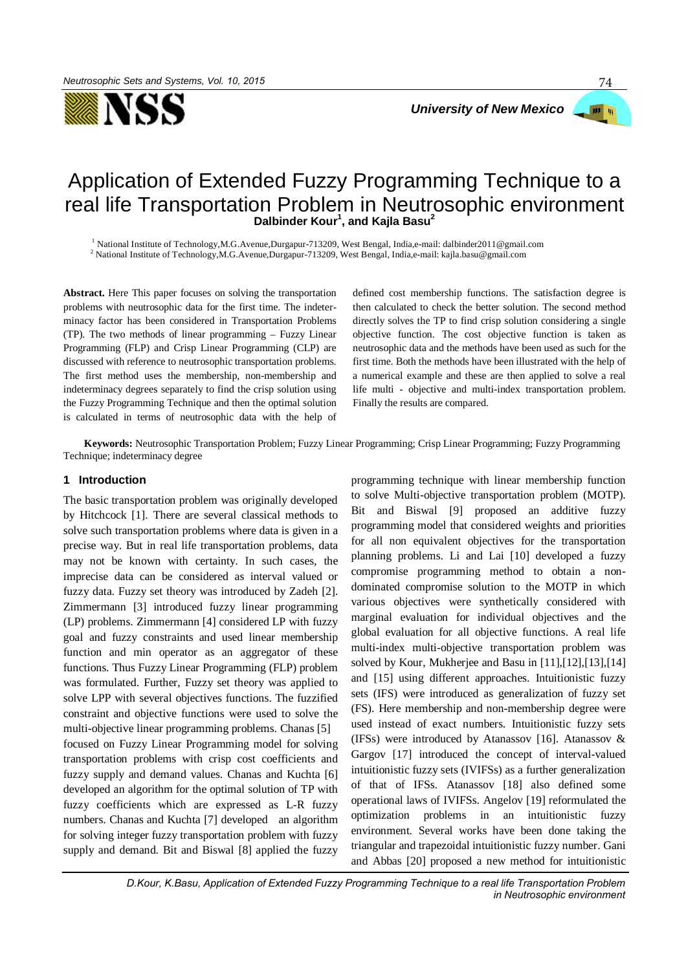

# **PER UN**

74

# Application of Extended Fuzzy Programming Technique to a real life Transportation Problem in Neutrosophic environment **Dalbinder Kour<sup>1</sup> , and Kajla Basu<sup>2</sup>**

<sup>1</sup> National Institute of Technology,M.G.Avenue,Durgapur-713209, West Bengal, India,e-mail: dalbinder2011@gmail.com

<sup>2</sup> National Institute of Technology,M.G.Avenue,Durgapur-713209, West Bengal, India,e-mail: kajla.basu@gmail.com

**Abstract.** Here This paper focuses on solving the transportation problems with neutrosophic data for the first time. The indeterminacy factor has been considered in Transportation Problems (TP). The two methods of linear programming – Fuzzy Linear Programming (FLP) and Crisp Linear Programming (CLP) are discussed with reference to neutrosophic transportation problems. The first method uses the membership, non-membership and indeterminacy degrees separately to find the crisp solution using the Fuzzy Programming Technique and then the optimal solution is calculated in terms of neutrosophic data with the help of defined cost membership functions. The satisfaction degree is then calculated to check the better solution. The second method directly solves the TP to find crisp solution considering a single objective function. The cost objective function is taken as neutrosophic data and the methods have been used as such for the first time. Both the methods have been illustrated with the help of a numerical example and these are then applied to solve a real life multi - objective and multi-index transportation problem. Finally the results are compared.

 **Keywords:** Neutrosophic Transportation Problem; Fuzzy Linear Programming; Crisp Linear Programming; Fuzzy Programming Technique; indeterminacy degree

# **1 Introduction**

The basic transportation problem was originally developed by Hitchcock [1]. There are several classical methods to solve such transportation problems where data is given in a precise way. But in real life transportation problems, data may not be known with certainty. In such cases, the imprecise data can be considered as interval valued or fuzzy data. Fuzzy set theory was introduced by Zadeh [2]. Zimmermann [3] introduced fuzzy linear programming (LP) problems. Zimmermann [4] considered LP with fuzzy goal and fuzzy constraints and used linear membership function and min operator as an aggregator of these functions. Thus Fuzzy Linear Programming (FLP) problem was formulated. Further, Fuzzy set theory was applied to solve LPP with several objectives functions. The fuzzified constraint and objective functions were used to solve the multi-objective linear programming problems. Chanas [5] focused on Fuzzy Linear Programming model for solving transportation problems with crisp cost coefficients and fuzzy supply and demand values. Chanas and Kuchta [6] developed an algorithm for the optimal solution of TP with fuzzy coefficients which are expressed as L-R fuzzy numbers. Chanas and Kuchta [7] developed an algorithm for solving integer fuzzy transportation problem with fuzzy supply and demand. Bit and Biswal [8] applied the fuzzy programming technique with linear membership function to solve Multi-objective transportation problem (MOTP). Bit and Biswal [9] proposed an additive fuzzy programming model that considered weights and priorities for all non equivalent objectives for the transportation planning problems. Li and Lai [10] developed a fuzzy compromise programming method to obtain a nondominated compromise solution to the MOTP in which various objectives were synthetically considered with marginal evaluation for individual objectives and the global evaluation for all objective functions. A real life multi-index multi-objective transportation problem was solved by Kour, Mukherjee and Basu in [11],[12],[13],[14] and [15] using different approaches. Intuitionistic fuzzy sets (IFS) were introduced as generalization of fuzzy set (FS). Here membership and non-membership degree were used instead of exact numbers. Intuitionistic fuzzy sets (IFSs) were introduced by Atanassov [16]. Atanassov  $\&$ Gargov [17] introduced the concept of interval-valued intuitionistic fuzzy sets (IVIFSs) as a further generalization of that of IFSs. Atanassov [18] also defined some operational laws of IVIFSs. Angelov [19] reformulated the optimization problems in an intuitionistic fuzzy environment. Several works have been done taking the triangular and trapezoidal intuitionistic fuzzy number. Gani and Abbas [20] proposed a new method for intuitionistic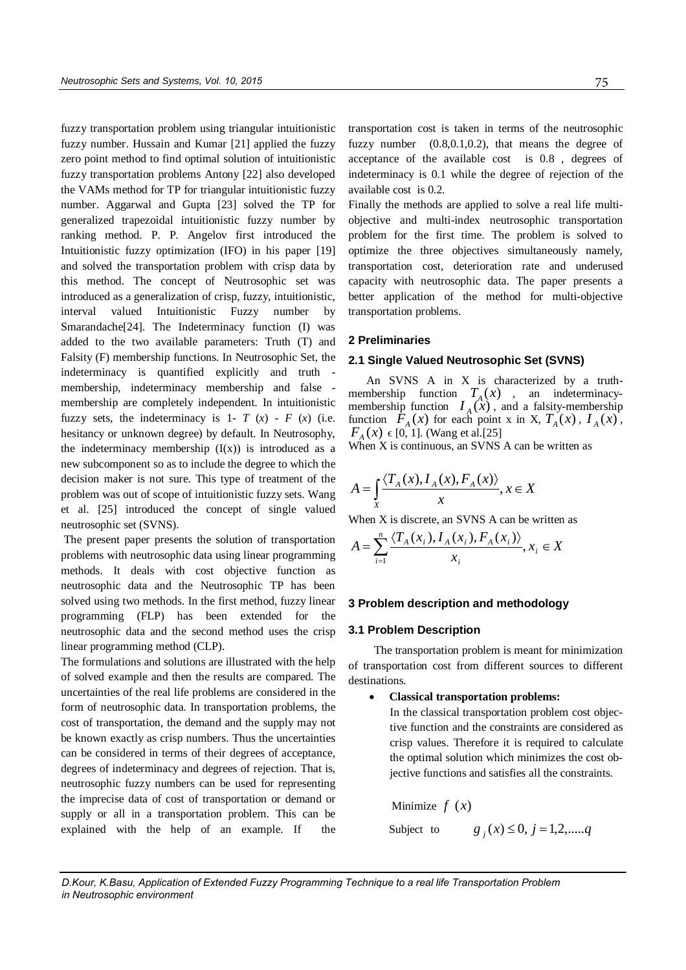fuzzy transportation problem using triangular intuitionistic fuzzy number. Hussain and Kumar [21] applied the fuzzy zero point method to find optimal solution of intuitionistic fuzzy transportation problems Antony [22] also developed the VAMs method for TP for triangular intuitionistic fuzzy number. Aggarwal and Gupta [23] solved the TP for generalized trapezoidal intuitionistic fuzzy number by ranking method. P. P. Angelov first introduced the Intuitionistic fuzzy optimization (IFO) in his paper [19] and solved the transportation problem with crisp data by this method. The concept of Neutrosophic set was introduced as a generalization of crisp, fuzzy, intuitionistic, interval valued Intuitionistic Fuzzy number by Smarandache[24]. The Indeterminacy function (I) was added to the two available parameters: Truth (T) and Falsity (F) membership functions. In Neutrosophic Set, the indeterminacy is quantified explicitly and truth membership, indeterminacy membership and false membership are completely independent. In intuitionistic fuzzy sets, the indeterminacy is 1-  $T(x)$  -  $F(x)$  (i.e. hesitancy or unknown degree) by default. In Neutrosophy, the indeterminacy membership  $(I(x))$  is introduced as a new subcomponent so as to include the degree to which the decision maker is not sure. This type of treatment of the problem was out of scope of intuitionistic fuzzy sets. Wang et al. [25] introduced the concept of single valued neutrosophic set (SVNS).

 The present paper presents the solution of transportation problems with neutrosophic data using linear programming methods. It deals with cost objective function as neutrosophic data and the Neutrosophic TP has been solved using two methods. In the first method, fuzzy linear programming (FLP) has been extended for the neutrosophic data and the second method uses the crisp linear programming method (CLP).

The formulations and solutions are illustrated with the help of solved example and then the results are compared. The uncertainties of the real life problems are considered in the form of neutrosophic data. In transportation problems, the cost of transportation, the demand and the supply may not be known exactly as crisp numbers. Thus the uncertainties can be considered in terms of their degrees of acceptance, degrees of indeterminacy and degrees of rejection. That is, neutrosophic fuzzy numbers can be used for representing the imprecise data of cost of transportation or demand or supply or all in a transportation problem. This can be explained with the help of an example. If the transportation cost is taken in terms of the neutrosophic fuzzy number (0.8,0.1,0.2), that means the degree of acceptance of the available cost is 0.8 , degrees of indeterminacy is 0.1 while the degree of rejection of the available cost is 0.2.

Finally the methods are applied to solve a real life multiobjective and multi-index neutrosophic transportation problem for the first time. The problem is solved to optimize the three objectives simultaneously namely, transportation cost, deterioration rate and underused capacity with neutrosophic data. The paper presents a better application of the method for multi-objective transportation problems.

# **2 Preliminaries**

# **2.1 Single Valued Neutrosophic Set (SVNS)**

An SVNS A in X is characterized by a truthmembership function  $T_A(x)$ , an indeterminacymembership function  $I_A(x)$ , and a falsity-membership function  $\overline{F}_A(x)$  for each point x in X,  $T_A(x)$ ,  $I_A(x)$ ,  $F_A(x) \in [0, 1]$ . (Wang et al.[25]

When X is continuous, an SVNS A can be written as

$$
A = \int_{X} \frac{\langle T_A(x), I_A(x), F_A(x) \rangle}{x}, x \in X
$$

When X is discrete, an SVNS A can be written as

$$
A = \sum_{i=1}^{n} \frac{\langle T_A(x_i), I_A(x_i), F_A(x_i) \rangle}{x_i}, x_i \in X
$$

#### **3 Problem description and methodology**

#### **3.1 Problem Description**

The transportation problem is meant for minimization of transportation cost from different sources to different destinations.

#### **Classical transportation problems:**

In the classical transportation problem cost objective function and the constraints are considered as crisp values. Therefore it is required to calculate the optimal solution which minimizes the cost objective functions and satisfies all the constraints.

Minimize  $f(x)$ 

Subject to  $g_j(x) \le 0, j = 1,2, \dots, q$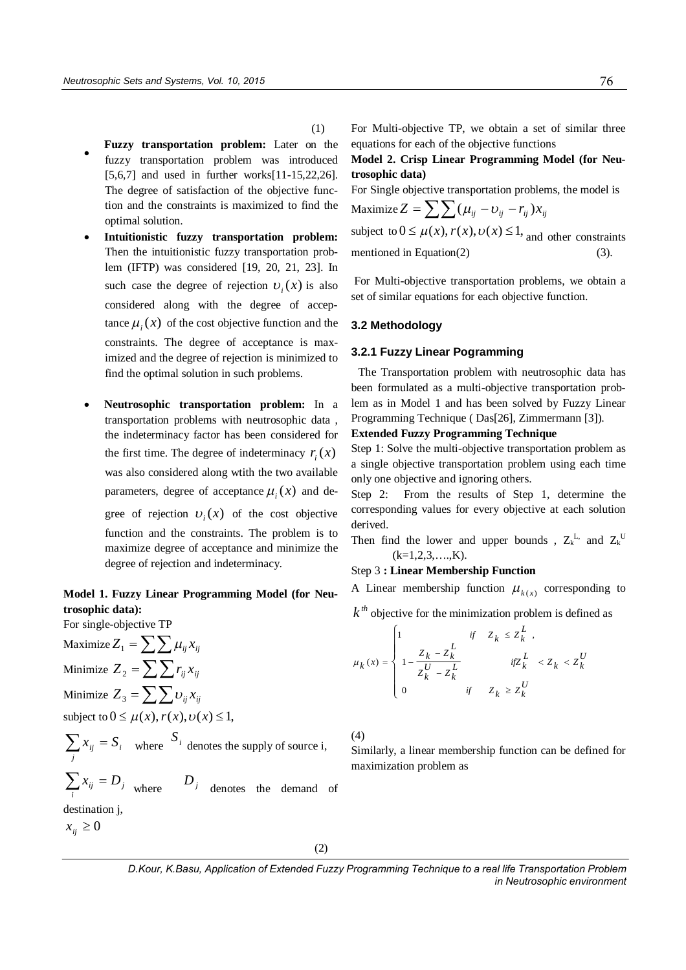- $\bullet$ **Fuzzy transportation problem:** Later on the fuzzy transportation problem was introduced [5,6,7] and used in further works[11-15,22,26]. The degree of satisfaction of the objective function and the constraints is maximized to find the optimal solution.
- **Intuitionistic fuzzy transportation problem:** Then the intuitionistic fuzzy transportation problem (IFTP) was considered [19, 20, 21, 23]. In such case the degree of rejection  $v_i(x)$  is also considered along with the degree of acceptance  $\mu_i(x)$  of the cost objective function and the constraints. The degree of acceptance is maximized and the degree of rejection is minimized to find the optimal solution in such problems.
- **Neutrosophic transportation problem:** In a transportation problems with neutrosophic data , the indeterminacy factor has been considered for the first time. The degree of indeterminacy  $r_i(x)$ was also considered along wtith the two available parameters, degree of acceptance  $\mu_i(x)$  and degree of rejection  $v_i(x)$  of the cost objective function and the constraints. The problem is to maximize degree of acceptance and minimize the degree of rejection and indeterminacy.

# **Model 1. Fuzzy Linear Programming Model (for Neutrosophic data):**

Maximize  $Z_1 = \sum \sum \mu_{ii} x_{ii}$ Minimize  $Z_2 = \sum \sum r_{ij} x_{ij}$ Minimize  $Z_3 = \sum \sum v_{ij} x_{ij}$ subject to  $0 \leq \mu(x)$ ,  $r(x)$ ,  $v(x) \leq 1$ , *i* where  $S_i$  denotes the supply of source i, *j*  $\sum_i x_{ij} = D_j$  where  $D_j$  denotes the demand of destination j,  $\sum_j x_{ij} = S$ 

For single-objective TP

 $x_{ii} \geq 0$ 

(1)

For Multi-objective TP, we obtain a set of similar three equations for each of the objective functions

# **Model 2. Crisp Linear Programming Model (for Neutrosophic data)**

For Single objective transportation problems, the model is

Maximize 
$$
Z = \sum \sum (\mu_{ij} - \nu_{ij} - r_{ij})x_{ij}
$$
  
subject to  $0 \le \mu(x), r(x), \nu(x) \le 1$ , and other constraints  
mentioned in Equation(2) (3).

For Multi-objective transportation problems, we obtain a set of similar equations for each objective function.

#### **3.2 Methodology**

#### **3.2.1 Fuzzy Linear Pogramming**

The Transportation problem with neutrosophic data has been formulated as a multi-objective transportation problem as in Model 1 and has been solved by Fuzzy Linear Programming Technique ( Das[26], Zimmermann [3]).

# **Extended Fuzzy Programming Technique**

Step 1: Solve the multi-objective transportation problem as a single objective transportation problem using each time only one objective and ignoring others.

Step 2: From the results of Step 1, determine the corresponding values for every objective at each solution derived.

Then find the lower and upper bounds,  $Z_k^L$  and  $Z_k^U$  $(k=1,2,3,...,K)$ .

# Step 3 **: Linear Membership Function**

A Linear membership function  $\mu_{k(x)}$  corresponding to

 $k^{th}$  objective for the minimization problem is defined as

$$
\mu_k(x) = \begin{cases}\n1 & \text{if} \quad Z_k \le Z_k^L, \\
1 - \frac{Z_k - Z_k^L}{Z_k^U - Z_k^L} & \text{if} Z_k^L < Z_k < Z_k^U, \\
0 & \text{if} \quad Z_k \ge Z_k^U\n\end{cases}
$$

(4)

Similarly, a linear membership function can be defined for maximization problem as

(2)

*D.Kour, K.Basu, Application of Extended Fuzzy Programming Technique to a real life Transportation Problem in Neutrosophic environment*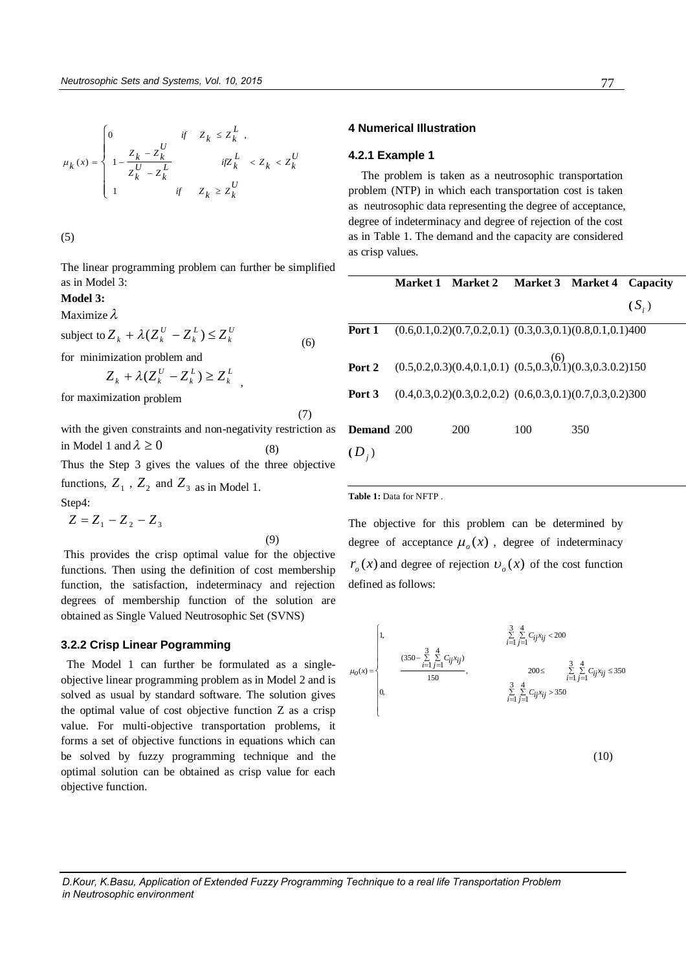$$
\mu_k(x) = \begin{cases} 0 & \text{if} \quad Z_k \leq Z_k^L , \\ \displaystyle 1 - \frac{Z_k - Z_k^U}{Z_k^U - Z_k^L} & \text{if} Z_k^L < Z_k < Z_k^U \\ 1 & \text{if} \quad Z_k \geq Z_k^U \end{cases}
$$

(5)

The linear programming problem can further be simplified as in Model 3:

# **Model 3:**

Maximize  $\lambda$ 

subject to  $Z_k + \lambda (Z_k^U - Z_k^L) \leq Z_k^U$ *L k*  $Z_k + \lambda (Z_k^U - Z_k^L) \leq Z$  (6) for minimization problem and *L L*  $Z_k + \lambda (Z_k^U - Z_k^L) \ge Z_k^L$ 

*k*

*k*

for maximization problem

with the given constraints and non-negativity restriction as in Model 1 and  $\lambda \ge 0$  (8) Thus the Step 3 gives the values of the three objective

functions,  $Z_1$ ,  $Z_2$  and  $Z_3$  as in Model 1.

Step4:  $Z = Z_1 - Z_2 - Z_3$ 

(9)

(7)

 This provides the crisp optimal value for the objective functions. Then using the definition of cost membership function, the satisfaction, indeterminacy and rejection degrees of membership function of the solution are obtained as Single Valued Neutrosophic Set (SVNS)

#### **3.2.2 Crisp Linear Pogramming**

 The Model 1 can further be formulated as a singleobjective linear programming problem as in Model 2 and is solved as usual by standard software. The solution gives the optimal value of cost objective function Z as a crisp value. For multi-objective transportation problems, it forms a set of objective functions in equations which can be solved by fuzzy programming technique and the optimal solution can be obtained as crisp value for each objective function.

#### **4 Numerical Illustration**

#### **4.2.1 Example 1**

The problem is taken as a neutrosophic transportation problem (NTP) in which each transportation cost is taken as neutrosophic data representing the degree of acceptance, degree of indeterminacy and degree of rejection of the cost as in Table 1. The demand and the capacity are considered as crisp values.

|                   | Market 1 Market 2 Market 3 Market 4 Capacity                                       |     |     |         |
|-------------------|------------------------------------------------------------------------------------|-----|-----|---------|
|                   |                                                                                    |     |     | $(S_i)$ |
|                   | <b>Port 1</b> $(0.6, 0.1, 0.2)(0.7, 0.2, 0.1)$ $(0.3, 0.3, 0.1)(0.8, 0.1, 0.1)400$ |     |     |         |
|                   | <b>Port 2</b> $(0.5, 0.2, 0.3)(0.4, 0.1, 0.1)$ $(0.5, 0.3, 0.1)(0.3, 0.3, 0.2)150$ |     |     |         |
| Port 3            | $(0.4, 0.3, 0.2)(0.3, 0.2, 0.2)$ $(0.6, 0.3, 0.1)(0.7, 0.3, 0.2)300$               |     |     |         |
| <b>Demand</b> 200 | 200                                                                                | 100 | 350 |         |
| $(D_i)$           |                                                                                    |     |     |         |

**Table 1:** Data for NFTP .

The objective for this problem can be determined by degree of acceptance  $\mu_o(x)$ , degree of indeterminacy  $r<sub>o</sub>(x)$  and degree of rejection  $v<sub>o</sub>(x)$  of the cost function defined as follows:

$$
\mu_0(x) = \begin{cases}\n1, & \frac{3}{\sum_{i=1}^{8} \sum_{j=1}^{4} C_{ij} x_{ij} < 200 \\
\frac{(350 - \sum_{i=1}^{3} \sum_{j=1}^{4} C_{ij} x_{ij})}{150}, & 200 \leq \frac{3}{\sum_{i=1}^{8} \sum_{j=1}^{4} C_{ij} x_{ij} \leq 350 \\
0, & \frac{3}{\sum_{i=1}^{8} \sum_{j=1}^{4} C_{ij} x_{ij} > 350}\n\end{cases}
$$

(10)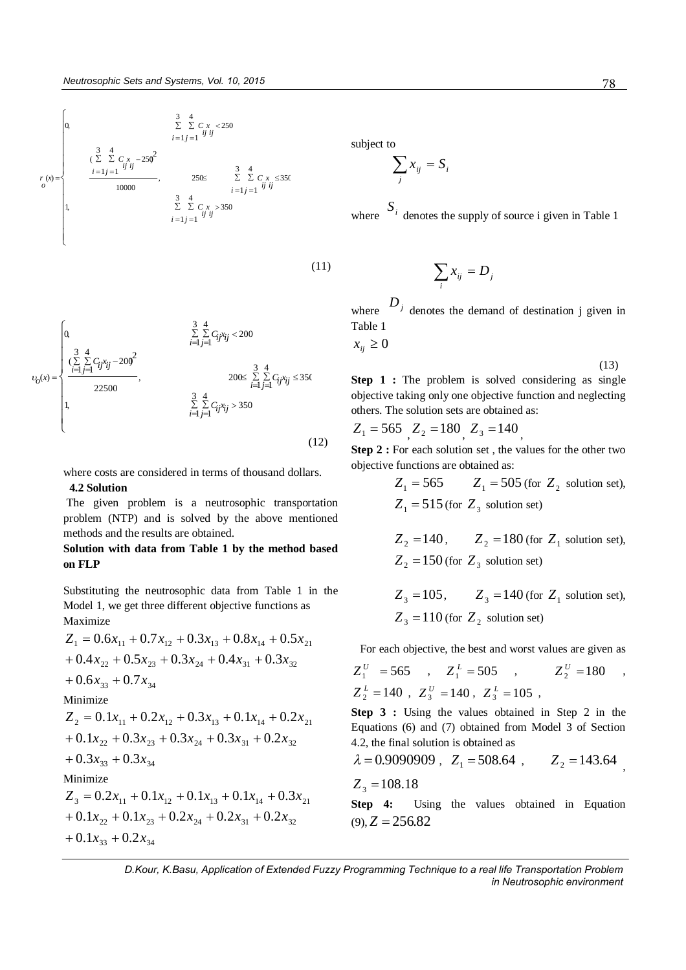$$
r(x) = \begin{cases}\n0 & \frac{3}{2} \sum_{i=1}^{3} C_{i} x_{i} < 250 \\
\frac{3}{2} \sum_{i=1}^{3} C_{i} x_{i} < 250 \\
\frac{1}{2} \sum_{i=1}^{3} C_{i} x_{i} - 250^{2} \\
\frac{1}{2} \sum_{i=1}^{3} C_{i} x_{i} < 250 \times \sum_{i=1}^{3} C_{i} x_{i} \leq 350 \\
\frac{3}{2} \sum_{i=1}^{3} C_{i} x_{i} > 350 \\
\frac{3}{2} \sum_{i=1}^{3} C_{i} x_{i} > 350\n\end{cases}
$$

(11)

(12)  $\overline{1}$  $\left| \cdot \right|$  $\left| \right|$  $\overline{\mathcal{L}}$  $\Big\}$  $\overline{1}$  $\begin{array}{c} \end{array}$ ↑  $\int$  $\sum_{j=1}^{\infty}\sum_{j=1}^{\infty}C_{ij}x_{ij} \leq$  $\sum\limits_{i=1}^{\infty}\sum\limits_{j=1}C_{ij}x_{ij}>$  $\leq$  $\sum\limits_{i=1}^{\infty}\sum\limits_{j=1}^{C_{ij}x_{ij}}$  –  $\sum\limits_{j=1}^{\infty}\sum\limits_{j=1}^{C_{ij}x_{ij}}$  < = 3  $\sum_{i,j=1}^{\infty} C_{ij} x_{ij} \leq 350$ 4 1 3  $\sum_{i=1}^{n} \sum_{j=1}^{n} C_{ij} x_{ij} > 350$ 4 1 ,1 ,  $200 \leq \sum_{i=1} \sum_{j=1} C_{ij} x_{ij}$ 22500 3 1 4 1  $(\sum_{i=1}^{3} \sum_{i=1}^{4} C_{ij} x_{ij} - 200)^2$ 3  $\sum\limits_{i,j=1}^{n}\sum\limits_{j}c_{ij}x_{ij}<200$ 4  $\sum_{i=1}$   $\sum_{j=1}$   $C_{ij}x_{ij}$  ,0  $(x) = \begin{cases} \frac{(\sum \sum C_{ij}x_{ij})}{i+j=1} \end{cases}$  $\sum_{i=1}$   $\sum_{j=1}$   $C_{ij}x_{ij}$ *x o*

where costs are considered in terms of thousand dollars.

# **4.2 Solution**

The given problem is a neutrosophic transportation problem (NTP) and is solved by the above mentioned methods and the results are obtained.

# **Solution with data from Table 1 by the method based on FLP**

Substituting the neutrosophic data from Table 1 in the Model 1, we get three different objective functions as Maximize

$$
Z_1 = 0.6x_{11} + 0.7x_{12} + 0.3x_{13} + 0.8x_{14} + 0.5x_{21}
$$
  
+ 0.4x<sub>22</sub> + 0.5x<sub>23</sub> + 0.3x<sub>24</sub> + 0.4x<sub>31</sub> + 0.3x<sub>32</sub>  
+ 0.6x<sub>33</sub> + 0.7x<sub>34</sub>  
Minimize  

$$
Z_2 = 0.1x_{11} + 0.2x_{12} + 0.3x_{13} + 0.1x_{14} + 0.2x_{21}
$$
  
+ 0.1x<sub>22</sub> + 0.3x<sub>23</sub> + 0.3x<sub>24</sub> + 0.3x<sub>31</sub> + 0.2x<sub>32</sub>  
+ 0.3x<sub>33</sub> + 0.3x<sub>34</sub>  
Minimize  

$$
Z_3 = 0.2x_{11} + 0.1x_{12} + 0.1x_{13} + 0.1x_{14} + 0.3x_{21}
$$
  
+ 0.1x<sub>22</sub> + 0.1x<sub>23</sub> + 0.2x<sub>24</sub> + 0.2x<sub>31</sub> + 0.2x<sub>32</sub>  
+ 0.1x<sub>33</sub> + 0.2x<sub>34</sub>

subject to

$$
\sum_j x_{ij} = S_i
$$

where  $S_i$  denotes the supply of source i given in Table 1

$$
\sum_i x_{ij} = D_j
$$

where  $D_j$  denotes the demand of destination j given in Table 1

 $x_{ii} \geq 0$ 

(13)

,

**Step 1 :** The problem is solved considering as single objective taking only one objective function and neglecting others. The solution sets are obtained as:

$$
Z_1 = 565
$$
,  $Z_2 = 180$ ,  $Z_3 = 140$ ,

**Step 2 :** For each solution set , the values for the other two objective functions are obtained as:

> $Z_1 = 565$   $Z_1 = 505$  (for  $Z_2$  solution set),  $Z_1 = 515$  (for  $Z_3$  solution set)

$$
Z_2 = 140
$$
,  $Z_2 = 180$  (for  $Z_1$  solution set),  
 $Z_2 = 150$  (for  $Z_3$  solution set)

$$
Z_3 = 105
$$
,  $Z_3 = 140$  (for  $Z_1$  solution set),  
 $Z_3 = 110$  (for  $Z_2$  solution set)

For each objective, the best and worst values are given as

$$
Z_1^U
$$
 = 565 ,  $Z_1^L$  = 505 ,  $Z_2^U$  = 180 ,  
\n $Z_2^L$  = 140 ,  $Z_3^U$  = 140 ,  $Z_3^L$  = 105 ,

**Step 3 :** Using the values obtained in Step 2 in the Equations (6) and (7) obtained from Model 3 of Section 4.2, the final solution is obtained as

$$
\lambda = 0.9090909
$$
,  $Z_1 = 508.64$ ,  $Z_2 = 143.64$   
 $Z_3 = 108.18$ 

**Step 4:** Using the values obtained in Equation  $(9)$ ,  $Z = 256.82$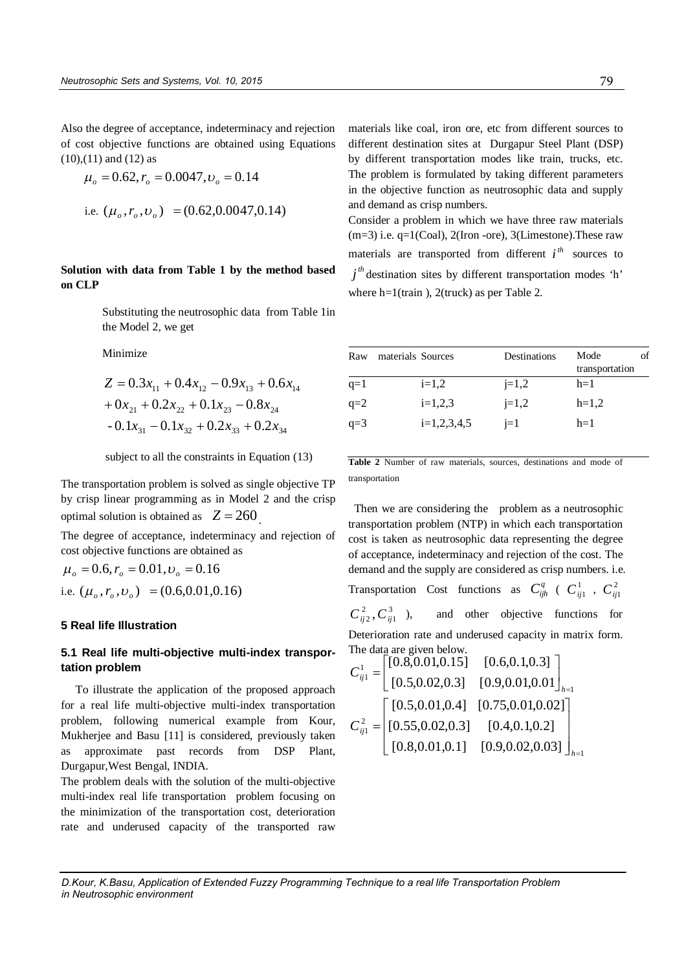Also the degree of acceptance, indeterminacy and rejection of cost objective functions are obtained using Equations (10),(11) and (12) as

$$
\mu_o = 0.62, r_o = 0.0047, \nu_o = 0.14
$$
  
i.e.  $(\mu_o, r_o, \nu_o) = (0.62, 0.0047, 0.14)$ 

**Solution with data from Table 1 by the method based on CLP** 

> Substituting the neutrosophic data from Table 1in the Model 2, we get

Minimize

$$
Z = 0.3x_{11} + 0.4x_{12} - 0.9x_{13} + 0.6x_{14}
$$
  
+ 0x<sub>21</sub> + 0.2x<sub>22</sub> + 0.1x<sub>23</sub> - 0.8x<sub>24</sub>  
- 0.1x<sub>31</sub> - 0.1x<sub>32</sub> + 0.2x<sub>33</sub> + 0.2x<sub>34</sub>

subject to all the constraints in Equation (13)

The transportation problem is solved as single objective TP by crisp linear programming as in Model 2 and the crisp optimal solution is obtained as  $Z = 260$ .

The degree of acceptance, indeterminacy and rejection of cost objective functions are obtained as

 $\mu_{\rho} = 0.6, r_{\rho} = 0.01, \nu_{\rho} = 0.16$ i.e.  $(\mu_o, r_o, \nu_o) = (0.6, 0.01, 0.16)$ 

# **5 Real life Illustration**

# **5.1 Real life multi-objective multi-index transportation problem**

 To illustrate the application of the proposed approach for a real life multi-objective multi-index transportation problem, following numerical example from Kour, Mukherjee and Basu [11] is considered, previously taken as approximate past records from DSP Plant, Durgapur,West Bengal, INDIA.

The problem deals with the solution of the multi-objective multi-index real life transportation problem focusing on the minimization of the transportation cost, deterioration rate and underused capacity of the transported raw materials like coal, iron ore, etc from different sources to different destination sites at Durgapur Steel Plant (DSP) by different transportation modes like train, trucks, etc. The problem is formulated by taking different parameters in the objective function as neutrosophic data and supply and demand as crisp numbers.

Consider a problem in which we have three raw materials  $(m=3)$  i.e.  $q=1$ (Coal), 2(Iron -ore), 3(Limestone). These raw materials are transported from different  $i^{th}$  sources to  $j<sup>th</sup>$  destination sites by different transportation modes 'h' where h=1(train), 2(truck) as per Table 2.

| Raw   | materials Sources |               | Destinations | Mode<br>transportation |  |
|-------|-------------------|---------------|--------------|------------------------|--|
| q=1   |                   | $i=1,2$       | $i=1,2$      | $h=1$                  |  |
| $q=2$ |                   | $i=1,2,3$     | $i=1,2$      | $h=1,2$                |  |
| $q=3$ |                   | $i=1,2,3,4,5$ | $i=1$        | $h=1$                  |  |
|       |                   |               |              |                        |  |

**Table 2** Number of raw materials, sources, destinations and mode of transportation

Then we are considering the problem as a neutrosophic transportation problem (NTP) in which each transportation cost is taken as neutrosophic data representing the degree of acceptance, indeterminacy and rejection of the cost. The demand and the supply are considered as crisp numbers. i.e. Transportation Cost functions as  $C_{ijh}^q$  (  $C_{ij1}^1$  ,  $C_{ij1}^2$ 3 1 2  $\,C_{ij2}^{\,2},C_{ij}^{\,3}\,$ ), and other objective functions for Deterioration rate and underused capacity in matrix form. The data are given below.

$$
C_{ij1}^{1} = \begin{bmatrix} [0.8, 0.01, 0.15] & [0.6, 0.1, 0.3] \\ [0.5, 0.02, 0.3] & [0.9, 0.01, 0.01] \end{bmatrix}_{h=1}
$$

$$
C_{ij1}^{2} = \begin{bmatrix} [0.5, 0.01, 0.4] & [0.75, 0.01, 0.02] \\ [0.55, 0.02, 0.3] & [0.4, 0.1, 0.2] \\ [0.8, 0.01, 0.1] & [0.9, 0.02, 0.03] \end{bmatrix}_{h=1}
$$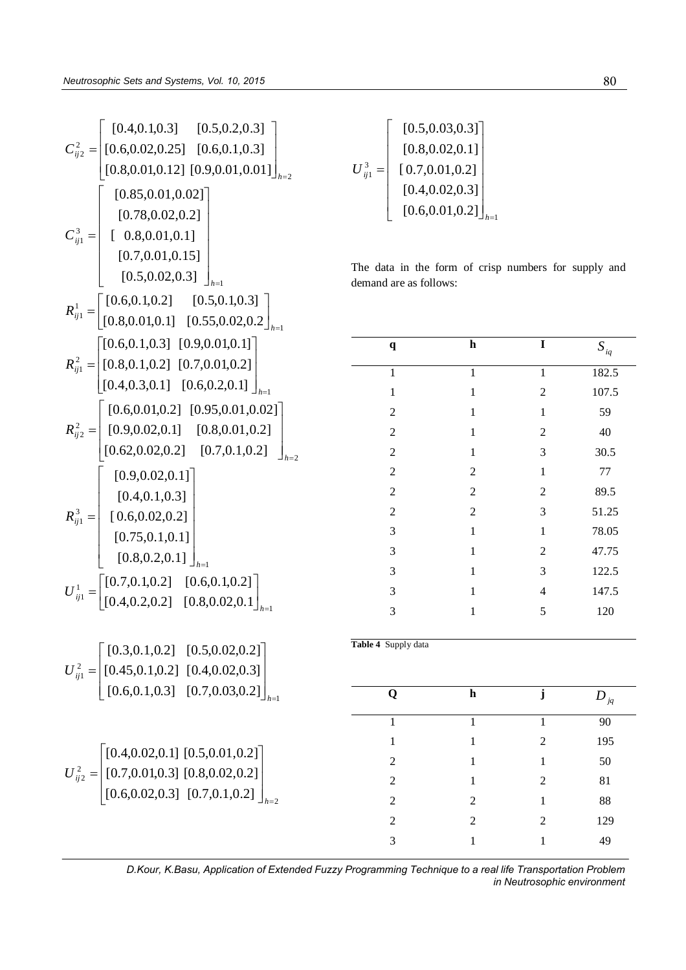$$
C_{ij2}^{2} = \begin{bmatrix} [0.4, 0.1, 0.3] & [0.5, 0.2, 0.3] \\ [0.8, 0.02, 0.25] & [0.6, 0.1, 0.3] \\ [0.8, 0.01, 0.12] & [0.9, 0.01, 0.01] \end{bmatrix}_{h=2}
$$
  
\n
$$
C_{ij1}^{3} = \begin{bmatrix} [0.85, 0.01, 0.02] \\ [0.78, 0.02, 0.2] \\ [0.7, 0.01, 0.15] \\ [0.5, 0.02, 0.3] \end{bmatrix}_{h=1}
$$
  
\n
$$
R_{ij1}^{1} = \begin{bmatrix} [0.6, 0.1, 0.2] & [0.5, 0.1, 0.3] \\ [0.8, 0.01, 0.1] & [0.55, 0.02, 0.2] \\ [0.8, 0.01, 0.1] & [0.55, 0.02, 0.2] \end{bmatrix}_{h=1}
$$
  
\n
$$
R_{ij1}^{2} = \begin{bmatrix} [0.6, 0.1, 0.3] & [0.9, 0.01, 0.1] \\ [0.8, 0.1, 0.2] & [0.7, 0.01, 0.2] \\ [0.4, 0.3, 0.1] & [0.6, 0.2, 0.1] \end{bmatrix}_{h=1}
$$
  
\n
$$
R_{ij2}^{3} = \begin{bmatrix} [0.6, 0.01, 0.2] & [0.95, 0.01, 0.02] \\ [0.9, 0.02, 0.1] & [0.8, 0.01, 0.2] \\ [0.62, 0.02, 0.2] & [0.7, 0.1, 0.2] \\ [0.75, 0.1, 0.1] \end{bmatrix}_{h=1}
$$
  
\n
$$
U_{ij1}^{1} = \begin{bmatrix} [0.7, 0.1, 0.2] & [0.5, 0.02, 0.2] \\ [0.8, 0.2, 0.1] & [0.8, 0.02, 0.2] \\ [0.75, 0
$$

$$
U_{ij1}^{3} = \begin{bmatrix} [0.5, 0.03, 0.3] \\ [0.8, 0.02, 0.1] \\ [0.7, 0.01, 0.2] \\ [0.4, 0.02, 0.3] \\ [0.6, 0.01, 0.2] \end{bmatrix}_{h=1}
$$

The data in the form of crisp numbers for supply and demand are as follows:

| $\mathbf q$             | $\overline{\mathbf{h}}$ | $\overline{\mathbf{I}}$ | $S_{\mathit{iq}}$ |
|-------------------------|-------------------------|-------------------------|-------------------|
| $\overline{1}$          | $\overline{1}$          | $\overline{1}$          | 182.5             |
| $\mathbf{1}$            | $\mathbf{1}$            | $\overline{c}$          | 107.5             |
| $\overline{c}$          | $\mathbf 1$             | $\,1$                   | 59                |
| $\overline{c}$          | $\mathbf{1}$            | $\overline{c}$          | 40                |
| $\overline{c}$          | $\mathbf 1$             | 3                       | 30.5              |
| $\overline{c}$          | $\overline{c}$          | $\,1$                   | $77 \,$           |
| $\overline{c}$          | $\overline{c}$          | $\overline{c}$          | 89.5              |
| $\overline{2}$          | $\overline{c}$          | 3                       | 51.25             |
| 3                       | $\mathbf 1$             | $\,1$                   | 78.05             |
| 3                       | $\mathbf 1$             | $\overline{c}$          | 47.75             |
| 3                       | $\mathbf{1}$            | $\mathfrak{Z}$          | 122.5             |
| 3                       | $\mathbf{1}$            | $\overline{4}$          | 147.5             |
| 3                       | $\,1$                   | 5                       | 120               |
| Table 4 Supply data     |                         |                         |                   |
| $\overline{\mathbf{Q}}$ | $\overline{\mathbf{h}}$ | $\mathbf{j}$            | $D_{_{jq}}$       |
| $\overline{1}$          | $\overline{1}$          | $\overline{1}$          | 90                |
| $\mathbf{1}$            | $\mathbf 1$             | $\overline{c}$          | 195               |
| $\sqrt{2}$              | $\mathbf 1$             | $\mathbf 1$             | 50                |
| $\overline{c}$          | $\mathbf{1}$            | $\overline{c}$          | 81                |
| $\overline{c}$          | $\sqrt{2}$              | $\,1\,$                 | 88                |
| $\overline{c}$          | $\overline{c}$          | $\overline{c}$          | 129               |
| 3                       | $\mathbf{1}$            | $\mathbf 1$             | 49                |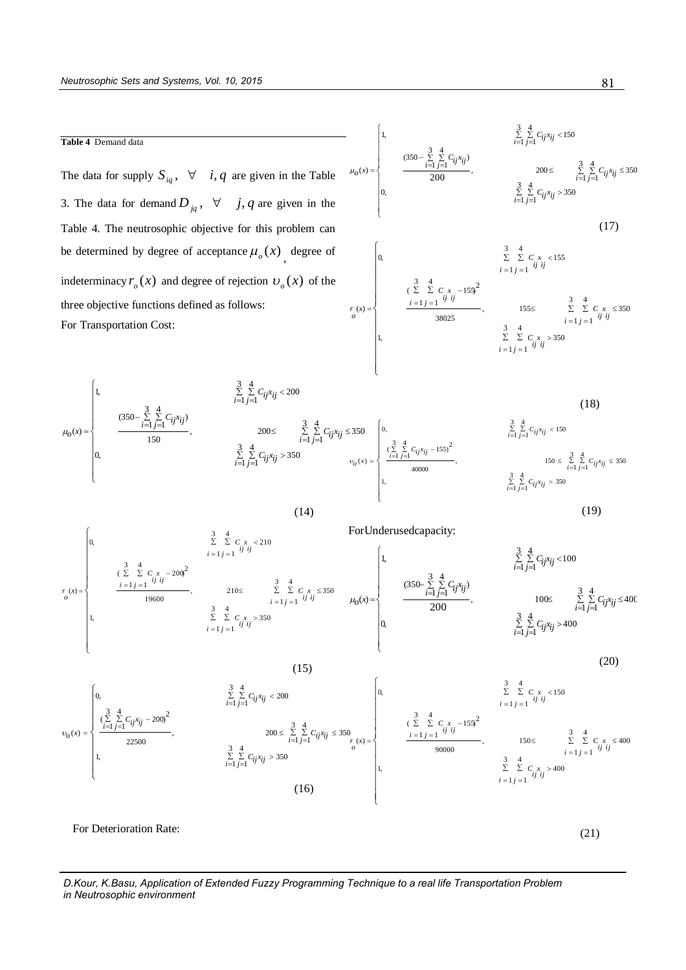#### **Table 4** Demand data

The data for supply  $S_{iq}$ ,  $\forall$  *i*, *q* are given in the Table 3. The data for demand  $D_{jq}$ ,  $\forall$  *j*, *q* are given in the Table 4. The neutrosophic objective for this problem can be determined by degree of acceptance  $\mu_o(x)$ , degree of indeterminacy  $r_o(x)$  and degree of rejection  $v_o(x)$  of the three objective functions defined as follows: For Transportation Cost:

$$
\mu_o(x) = \begin{cases}\n1, & \sum_{i=1}^{3} \sum_{j=1}^{4} C_{ij}x_{ij} < 150 \\
\frac{(350 - \sum_{i=1}^{3} \sum_{j=1}^{4} C_{ij}x_{ij})}{200}, & 200 \le \sum_{i=1}^{3} \sum_{j=1}^{4} C_{ij}x_{ij} \le 350 \\
0, & \sum_{i=1}^{3} \sum_{j=1}^{4} C_{ij}x_{ij} > 350\n\end{cases}
$$
\n(17)\n
$$
\begin{cases}\n0, & \sum_{i=1}^{3} \sum_{j=1}^{4} C_{ij}x_{ij} < 155 \\
\frac{3}{i} = 1 \cdot j = 1 \quad \forall i \quad \forall i\n\end{cases}
$$
\n(17)\n
$$
\begin{cases}\n0, & \sum_{i=1}^{3} \sum_{j=1}^{4} C_{ij}x_{ij} < 155 \\
\frac{(2 \sum_{i=1}^{3} \sum_{j=1}^{4} C_{ij}x_{ij} < 155}{i} \le \sum_{i=1}^{3} \sum_{j=1}^{4} C_{ij}x_{ij} < 350 \\
\frac{3}{1} & \sum_{i=1}^{4} \sum_{j=1}^{4} C_{ij}x_{ij} > 350 \\
\frac{3}{1} = 1 \cdot j = 1 \quad \forall i \quad \forall i\n\end{cases}
$$

$$
\mu_{0}(x) = \begin{cases}\n1, & \frac{3}{2} \sum_{i=1}^{4} \sum_{j=1}^{i} C_{ij}x_{ij} < 200 \\
\frac{350 - \sum_{i=1}^{3} \sum_{j=1}^{4} C_{ij}x_{ij}}{150}, & 200 \le \sum_{i=1}^{3} \sum_{j=1}^{4} C_{ij}x_{ij} \le 350 \\
0, & \frac{3}{2} \sum_{i=1}^{4} \sum_{j=1}^{i} C_{ij}x_{ij} > 350 \\
\frac{3}{2} \sum_{i=1}^{4} \sum_{j=1}^{i} C_{ij}x_{ij} \le 350 \\
\frac{3}{2} \sum_{i=1}^{4} \sum_{j=1}^{i} C_{ij}x_{ij} \le 350 \\
\frac{3}{2} \sum_{i=1}^{4} \sum_{j=1}^{i} C_{ij}x_{ij} \le 350 \\
1, & \frac{3}{2} \sum_{i=1}^{4} \sum_{j=1}^{i} C_{ij}x_{ij} > 350 \\
1, & \frac{3}{2} \sum_{i=1}^{4} \sum_{j=1}^{i} C_{ij}x_{ij} > 350\n\end{cases}
$$
\n(14) (19)

 $\mathbf{I}$ 

 $\overline{\mathfrak{c}}$ 



(20) (20)   
\n
$$
v_o(x) = \begin{cases}\n0, & \sum_{i=1}^{3} \sum_{j=1}^{4} C_{ij}x_{ij} < 200 \\
\frac{3}{(2)} \sum_{i=1}^{4} \sum_{j=1}^{2} C_{ij}x_{ij} = 200^2 \\
22500\n\end{cases}
$$
\n(21) (20)

For Deterioration Rate:

*D.Kour, K.Basu, Application of Extended Fuzzy Programming Technique to a real life Transportation Problem in Neutrosophic environment* 

(21)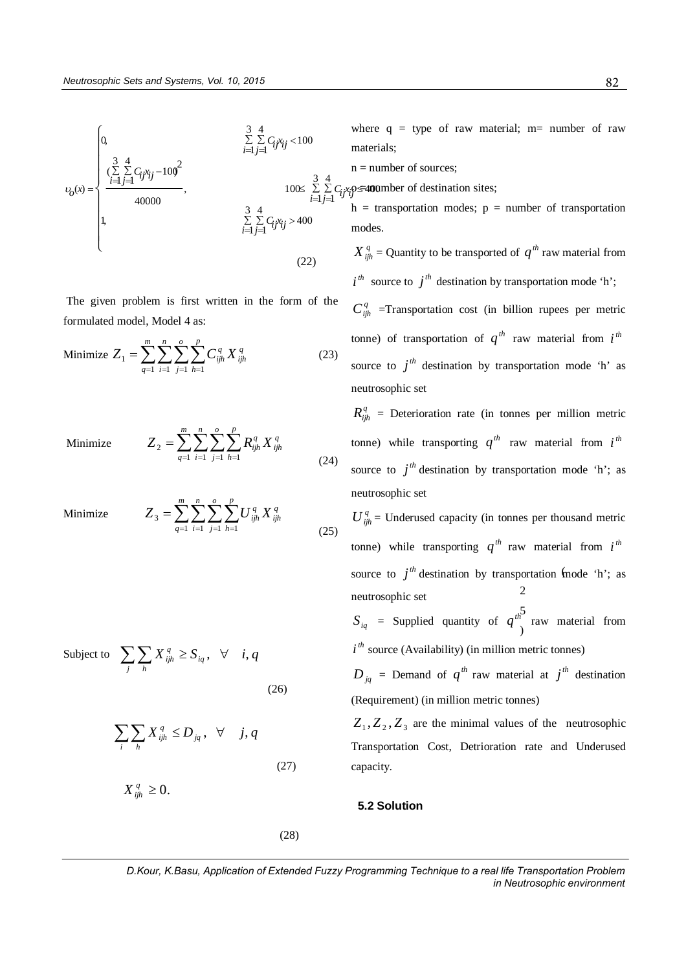

The given problem is first written in the form of the formulated model, Model 4 as:

Minimize 
$$
Z_1 = \sum_{q=1}^{m} \sum_{i=1}^{n} \sum_{j=1}^{o} \sum_{h=1}^{p} C_{ijh}^q X_{ijh}^q
$$
 (23)

*n*

*o*

*p*

*h*  $Z_{\,2} = \sum_{q=1} \sum_{i=1} \sum_{j=1} \sum_{h=1} R_{ijh}^q\,X$ 

(24)

*j*

 $-1$   $i=1$   $j=1$   $h=1$ 

*i*

Minimize  $Z_2 = \sum \sum \sum \sum R_{ijh}^q X_{ijh}^q$ 

Minimize 
$$
Z_3 = \sum_{q=1}^{m} \sum_{i=1}^{n} \sum_{j=1}^{o} \sum_{h=1}^{p} U_{ijh}^q X_{ijh}^q
$$
 (25)

 $q=1$  *i*=1 *j*=1 *h*=1

*m*

*q*

 $=$ 

2

Subject to 
$$
\sum_{j} \sum_{h} X_{ijh}^{q} \ge S_{iq}, \quad \forall \quad i, q
$$
 (26)

$$
\sum_{i} \sum_{h} X_{ijh}^{q} \le D_{jq}, \quad \forall \quad j, q
$$
\nTr<sub>2</sub>

\nTr<sub>3</sub>

\n(27)

 $X_{ijh}^q \geq 0.$ 

(28)

where  $q = type$  of raw material; m= number of raw materials;

n = number of sources;

 $\sum C_i x_i$ ọ≤ 400  $\varphi \leq 40$  umber of destination sites;

> $h =$  transportation modes;  $p =$  number of transportation modes.

> $X_{ijh}^q$  = Quantity to be transported of  $q^{th}$  raw material from  $i^{th}$  source to  $j^{th}$  destination by transportation mode 'h';

> $C_{ijk}^q$  =Transportation cost (in billion rupees per metric tonne) of transportation of  $q^{th}$  raw material from  $i^{th}$ source to  $j<sup>th</sup>$  destination by transportation mode 'h' as neutrosophic set

> $R_{ijk}^q$  = Deterioration rate (in tonnes per million metric tonne) while transporting  $q^{th}$  raw material from  $i^{th}$ source to  $j<sup>th</sup>$  destination by transportation mode 'h'; as neutrosophic set

> $U_{ijh}^q$  = Underused capacity (in tonnes per thousand metric source to  $j<sup>th</sup>$  destination by transportation mode 'h'; as 2 tonne) while transporting  $q^{th}$  raw material from  $i^{th}$ neutrosophic set

> 5  $S_{iq}$  = Supplied quantity of  $q^{th}$  raw material from  $i<sup>th</sup>$  source (Availability) (in million metric tonnes)

> $D_{jq}$  = Demand of  $q^{th}$  raw material at  $j^{th}$  destination (Requirement) (in million metric tonnes)

> $Z_1, Z_2, Z_3$  are the minimal values of the neutrosophic Transportation Cost, Detrioration rate and Underused capacity.

#### **5.2 Solution**

*D.Kour, K.Basu, Application of Extended Fuzzy Programming Technique to a real life Transportation Problem in Neutrosophic environment*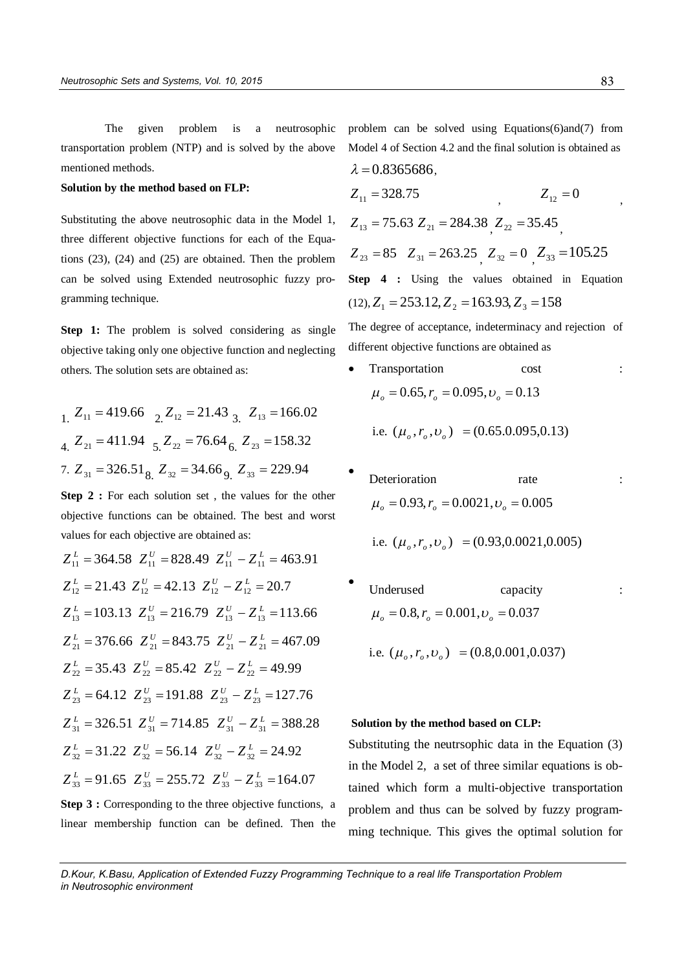The given problem is a neutrosophic transportation problem (NTP) and is solved by the above mentioned methods.

# **Solution by the method based on FLP:**

Substituting the above neutrosophic data in the Model 1, three different objective functions for each of the Equations (23), (24) and (25) are obtained. Then the problem can be solved using Extended neutrosophic fuzzy programming technique.

**Step 1:** The problem is solved considering as single objective taking only one objective function and neglecting others. The solution sets are obtained as:

 $Z_{11} = 419.66$   $Z_{12} = 21.43$   $Z_{13} = 166.02$  $Z_{21} = 411.94$   $Z_{22} = 76.64$   $Z_{23} = 158.32$ 7.  $Z_{31} = 326.51_{8}$ ,  $Z_{32} = 34.66_{9}$ ,  $Z_{33} = 229.94$ 

**Step 2 :** For each solution set , the values for the other objective functions can be obtained. The best and worst values for each objective are obtained as:

$$
Z_{11}^{L} = 364.58 \t Z_{11}^{U} = 828.49 \t Z_{11}^{U} - Z_{11}^{L} = 463.91
$$
  
\n
$$
Z_{12}^{L} = 21.43 \t Z_{12}^{U} = 42.13 \t Z_{12}^{U} - Z_{12}^{L} = 20.7
$$
  
\n
$$
Z_{13}^{L} = 103.13 \t Z_{13}^{U} = 216.79 \t Z_{13}^{U} - Z_{13}^{L} = 113.66
$$
  
\n
$$
Z_{21}^{L} = 376.66 \t Z_{21}^{U} = 843.75 \t Z_{21}^{U} - Z_{21}^{L} = 467.09
$$
  
\n
$$
Z_{22}^{L} = 35.43 \t Z_{22}^{U} = 85.42 \t Z_{22}^{U} - Z_{22}^{L} = 49.99
$$
  
\n
$$
Z_{23}^{L} = 64.12 \t Z_{23}^{U} = 191.88 \t Z_{23}^{U} - Z_{23}^{L} = 127.76
$$
  
\n
$$
Z_{31}^{L} = 326.51 \t Z_{31}^{U} = 714.85 \t Z_{31}^{U} - Z_{31}^{L} = 388.28
$$
  
\n
$$
Z_{32}^{L} = 31.22 \t Z_{32}^{U} = 56.14 \t Z_{32}^{U} - Z_{32}^{L} = 24.92
$$
  
\n
$$
Z_{33}^{L} = 91.65 \t Z_{33}^{U} = 255.72 \t Z_{33}^{U} - Z_{33}^{L} = 164.07
$$
  
\nStep 3 : Corresponding to the three objective functions, a

linear membership function can be defined. Then the

problem can be solved using Equations(6)and(7) from Model 4 of Section 4.2 and the final solution is obtained as  $\lambda = 0.8365686.$ 

$$
Z_{11} = 328.75
$$
  
\n
$$
Z_{12} = 0
$$
  
\n
$$
Z_{13} = 75.63 \t Z_{21} = 284.38 \t Z_{22} = 35.45
$$
  
\n
$$
Z_{23} = 85 \t Z_{31} = 263.25 \t Z_{32} = 0 \t Z_{33} = 105.25
$$
  
\n**Step 4 :** Using the values obtained in Equation (12),  $Z_1 = 253.12$ ,  $Z_2 = 163.93$ ,  $Z_3 = 158$ 

The degree of acceptance, indeterminacy and rejection of different objective functions are obtained as

Transportation cost  $\mu_{o} = 0.65, r_{o} = 0.095, \nu_{o} = 0.13$ 

i.e.  $(\mu_o, r_o, \nu_o) = (0.65.0.095, 0.13)$ 

 $\bullet$ Deterioration rate  $\mu_a = 0.93, r_a = 0.0021, \nu_a = 0.005$ 

i.e.  $(\mu_o, r_o, \nu_o) = (0.93, 0.0021, 0.005)$ 

 $\bullet$ Underused capacity :  $\mu_a = 0.8, r_a = 0.001, \nu_a = 0.037$ i.e.  $(\mu_o, r_o, \nu_o) = (0.8, 0.001, 0.037)$ 

# **Solution by the method based on CLP:**

Substituting the neutrsophic data in the Equation (3) in the Model 2, a set of three similar equations is obtained which form a multi-objective transportation problem and thus can be solved by fuzzy programming technique. This gives the optimal solution for

*D.Kour, K.Basu, Application of Extended Fuzzy Programming Technique to a real life Transportation Problem in Neutrosophic environment*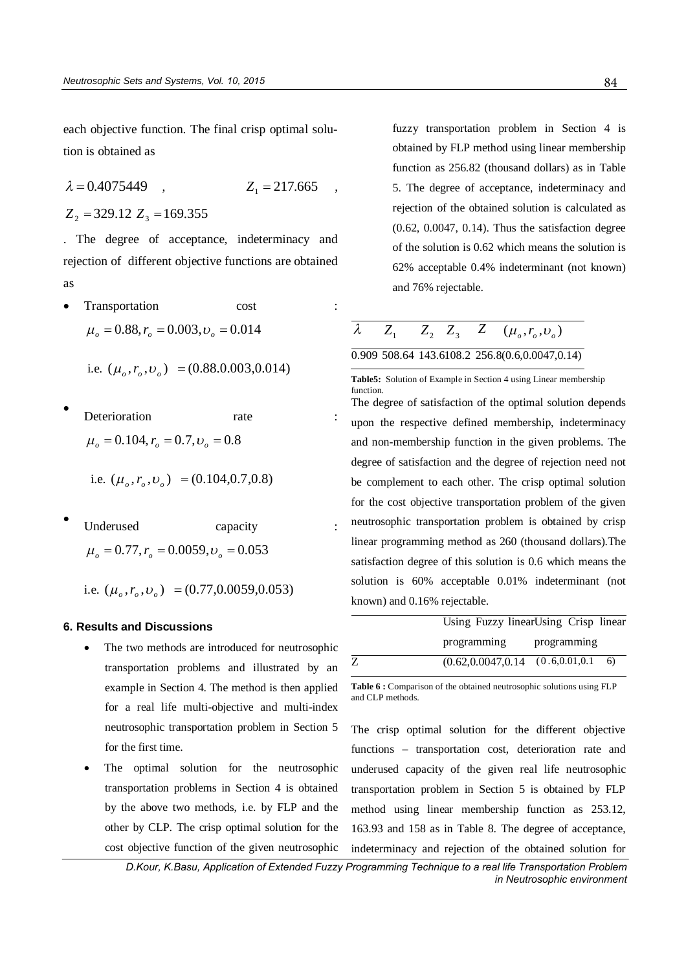each objective function. The final crisp optimal solution is obtained as

$$
\lambda = 0.4075449
$$
,  $Z_1 = 217.665$ ,

 $Z_2$  = 329.12  $Z_3$  = 169.355

. The degree of acceptance, indeterminacy and rejection of different objective functions are obtained as

Transportation cost  $\mu_a = 0.88$ ,  $r_a = 0.003$ ,  $v_a = 0.014$ 

i.e. 
$$
(\mu_o, r_o, v_o) = (0.88.0.003, 0.014)
$$

- $\bullet$ Deterioration rate  $\mu_{o} = 0.104, r_{o} = 0.7, \nu_{o} = 0.8$ 
	- i.e.  $(\mu_o, r_o, \nu_o) = (0.104, 0.7, 0.8)$
- $\bullet$ Underused capacity  $\mu_{o} = 0.77, r_{o} = 0.0059, \nu_{o} = 0.053$

i.e.  $(\mu_o, r_o, \nu_o) = (0.77, 0.0059, 0.053)$ 

# **6. Results and Discussions**

- The two methods are introduced for neutrosophic transportation problems and illustrated by an example in Section 4. The method is then applied for a real life multi-objective and multi-index neutrosophic transportation problem in Section 5 for the first time.
- The optimal solution for the neutrosophic transportation problems in Section 4 is obtained by the above two methods, i.e. by FLP and the other by CLP. The crisp optimal solution for the cost objective function of the given neutrosophic

fuzzy transportation problem in Section 4 is obtained by FLP method using linear membership function as 256.82 (thousand dollars) as in Table 5. The degree of acceptance, indeterminacy and rejection of the obtained solution is calculated as (0.62, 0.0047, 0.14). Thus the satisfaction degree of the solution is 0.62 which means the solution is 62% acceptable 0.4% indeterminant (not known) and 76% rejectable.

$$
\lambda \qquad Z_1 \qquad Z_2 \quad Z_3 \qquad Z \qquad (\mu_o, r_o, v_o)
$$

# 0.909 508.64 143.6108.2 256.8(0.6,0.0047,0.14)

**Table5:** Solution of Example in Section 4 using Linear membership function. The degree of satisfaction of the optimal solution depends upon the respective defined membership, indeterminacy and non-membership function in the given problems. The degree of satisfaction and the degree of rejection need not be complement to each other. The crisp optimal solution for the cost objective transportation problem of the given neutrosophic transportation problem is obtained by crisp linear programming method as 260 (thousand dollars).The satisfaction degree of this solution is 0.6 which means the solution is 60% acceptable 0.01% indeterminant (not known) and 0.16% rejectable.

| Using Fuzzy linearUsing Crisp linear                 |             |  |  |
|------------------------------------------------------|-------------|--|--|
| programming                                          | programming |  |  |
| $(0.62, 0.0047, 0.14 \quad (0.6, 0.01, 0.1 \quad 6)$ |             |  |  |

Table 6 : Comparison of the obtained neutrosophic solutions using FLP and CLP methods.

The crisp optimal solution for the different objective functions – transportation cost, deterioration rate and underused capacity of the given real life neutrosophic transportation problem in Section 5 is obtained by FLP method using linear membership function as 253.12, 163.93 and 158 as in Table 8. The degree of acceptance, indeterminacy and rejection of the obtained solution for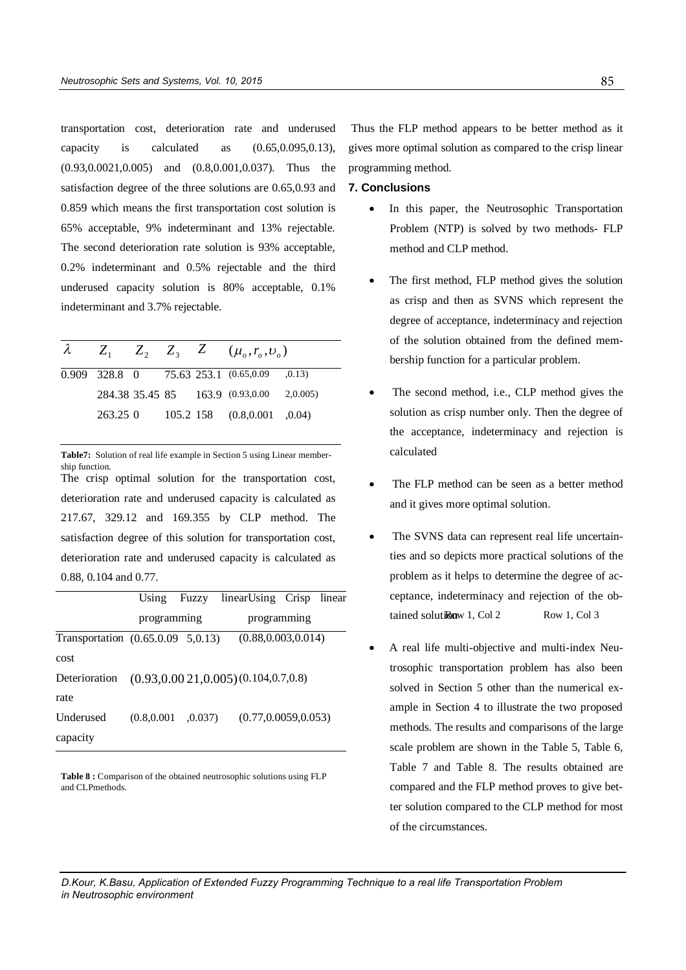transportation cost, deterioration rate and underused capacity is calculated as (0.65,0.095,0.13), (0.93,0.0021,0.005) and (0.8,0.001,0.037). Thus the satisfaction degree of the three solutions are 0.65,0.93 and 0.859 which means the first transportation cost solution is 65% acceptable, 9% indeterminant and 13% rejectable. The second deterioration rate solution is 93% acceptable, 0.2% indeterminant and 0.5% rejectable and the third underused capacity solution is 80% acceptable, 0.1% indeterminant and 3.7% rejectable.

|         |  | $\lambda$ $Z_1$ $Z_2$ $Z_3$ $Z$ $(\mu_o, r_o, v_o)$ |        |
|---------|--|-----------------------------------------------------|--------|
|         |  | 0.909 328.8 0 75.63 253.1 (0.65,0.09                | ,0.13) |
|         |  | 284.38 35.45 85 163.9 (0.93,0.00 2,0.005)           |        |
| 263.250 |  | 105.2 158 (0.8,0.001 ,0.04)                         |        |

**Table7:** Solution of real life example in Section 5 using Linear membership function. The crisp optimal solution for the transportation cost,

deterioration rate and underused capacity is calculated as 217.67, 329.12 and 169.355 by CLP method. The satisfaction degree of this solution for transportation cost, deterioration rate and underused capacity is calculated as 0.88, 0.104 and 0.77.

|                                      |              |       | Using Fuzzy linearUsing Crisp linear        |  |
|--------------------------------------|--------------|-------|---------------------------------------------|--|
|                                      | programming  |       | programming                                 |  |
| Transportation $(0.65.0.09, 5.0.13)$ |              |       | (0.88, 0.003, 0.014)                        |  |
| cost                                 |              |       |                                             |  |
| Deterioration                        |              |       | $(0.93, 0.0021, 0.005)$ $(0.104, 0.7, 0.8)$ |  |
| rate                                 |              |       |                                             |  |
| Underused                            | (0.8, 0.001) | 0.037 | (0.77, 0.0059, 0.053)                       |  |
| capacity                             |              |       |                                             |  |

Table 8 : Comparison of the obtained neutrosophic solutions using FLP and CLPmethods.

Thus the FLP method appears to be better method as it gives more optimal solution as compared to the crisp linear programming method.

# **7. Conclusions**

- In this paper, the Neutrosophic Transportation Problem (NTP) is solved by two methods- FLP method and CLP method.
- The first method, FLP method gives the solution as crisp and then as SVNS which represent the degree of acceptance, indeterminacy and rejection of the solution obtained from the defined membership function for a particular problem.
- The second method, i.e., CLP method gives the solution as crisp number only. Then the degree of the acceptance, indeterminacy and rejection is calculated
- The FLP method can be seen as a better method and it gives more optimal solution.
- programming tained solution and Row 1, Col 3 The SVNS data can represent real life uncertainties and so depicts more practical solutions of the problem as it helps to determine the degree of acceptance, indeterminacy and rejection of the ob-
	- A real life multi-objective and multi-index Neutrosophic transportation problem has also been solved in Section 5 other than the numerical example in Section 4 to illustrate the two proposed methods. The results and comparisons of the large scale problem are shown in the Table 5, Table 6, Table 7 and Table 8. The results obtained are compared and the FLP method proves to give better solution compared to the CLP method for most of the circumstances.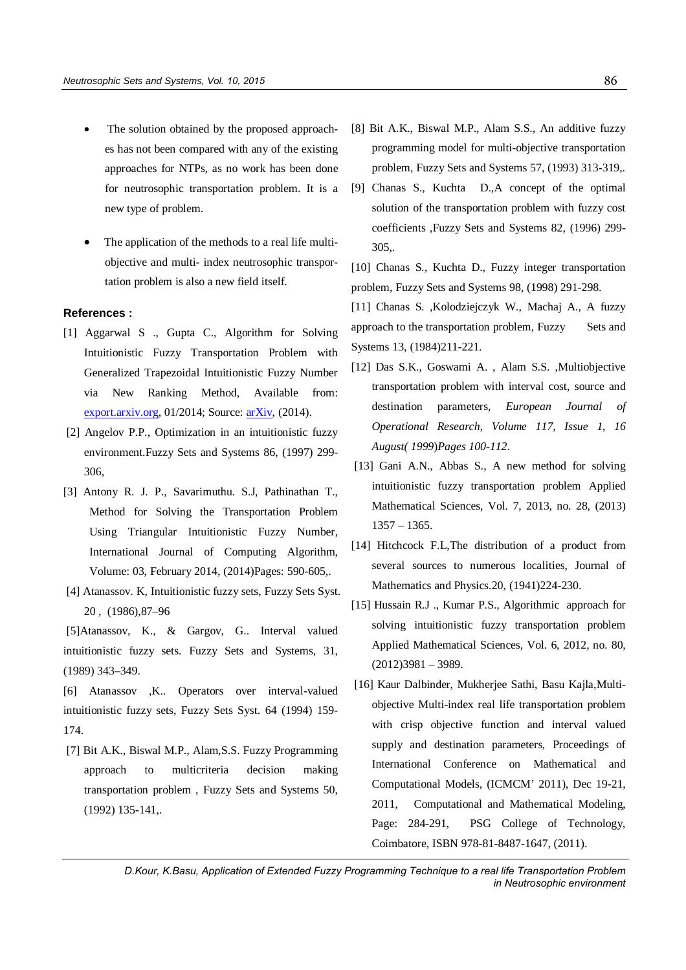- The solution obtained by the proposed approaches has not been compared with any of the existing approaches for NTPs, as no work has been done for neutrosophic transportation problem. It is a new type of problem.
- The application of the methods to a real life multiobjective and multi- index neutrosophic transportation problem is also a new field itself.

# **References :**

- [1] Aggarwal S ., Gupta C., Algorithm for Solving Intuitionistic Fuzzy Transportation Problem with Generalized Trapezoidal Intuitionistic Fuzzy Number via New Ranking Method, Available from: export.arxiv.org, 01/2014; Source: arXiv, (2014).
- [2] Angelov P.P., Optimization in an intuitionistic fuzzy environment.Fuzzy Sets and Systems 86, (1997) 299- 306,
- [3] Antony R. J. P., Savarimuthu. S.J, Pathinathan T., Method for Solving the Transportation Problem Using Triangular Intuitionistic Fuzzy Number, International Journal of Computing Algorithm, Volume: 03, February 2014, (2014)Pages: 590-605,.
- [4] Atanassov. K, Intuitionistic fuzzy sets, Fuzzy Sets Syst. 20 , (1986),87–96
- [5]Atanassov, K., & Gargov, G.. Interval valued intuitionistic fuzzy sets. Fuzzy Sets and Systems, 31, (1989) 343–349.
- [6] Atanassov ,K.. Operators over interval-valued intuitionistic fuzzy sets, Fuzzy Sets Syst. 64 (1994) 159- 174.
- [7] Bit A.K., Biswal M.P., Alam,S.S. Fuzzy Programming approach to multicriteria decision making transportation problem , Fuzzy Sets and Systems 50, (1992) 135-141,.
- [8] Bit A.K., Biswal M.P., Alam S.S., An additive fuzzy programming model for multi-objective transportation problem, Fuzzy Sets and Systems 57, (1993) 313-319,.
- [9] Chanas S., Kuchta D.,A concept of the optimal solution of the transportation problem with fuzzy cost coefficients ,Fuzzy Sets and Systems 82, (1996) 299- 305,.
- [10] Chanas S., Kuchta D., Fuzzy integer transportation problem, Fuzzy Sets and Systems 98, (1998) 291-298.

[11] Chanas S. ,Kolodziejczyk W., Machaj A., A fuzzy approach to the transportation problem, Fuzzy Sets and Systems 13, (1984)211-221.

- [12] Das S.K., Goswami A. , Alam S.S. ,Multiobjective transportation problem with interval cost, source and destination parameters, *European Journal of Operational Research*, *Volume 117, Issue 1*, *16 August( 1999*)*Pages 100-112*.
- [13] Gani A.N., Abbas S., A new method for solving intuitionistic fuzzy transportation problem Applied Mathematical Sciences, Vol. 7, 2013, no. 28, (2013) 1357 – 1365.
- [14] Hitchcock F.L,The distribution of a product from several sources to numerous localities, Journal of Mathematics and Physics.20, (1941)224-230.
- [15] Hussain R.J ., Kumar P.S., Algorithmic approach for solving intuitionistic fuzzy transportation problem Applied Mathematical Sciences, Vol. 6, 2012, no. 80,  $(2012)3981 - 3989.$
- [16] Kaur Dalbinder, Mukherjee Sathi, Basu Kajla,Multiobjective Multi-index real life transportation problem with crisp objective function and interval valued supply and destination parameters, Proceedings of International Conference on Mathematical and Computational Models, (ICMCM' 2011), Dec 19-21, 2011, Computational and Mathematical Modeling, Page: 284-291, PSG College of Technology, Coimbatore, ISBN 978-81-8487-1647, (2011).